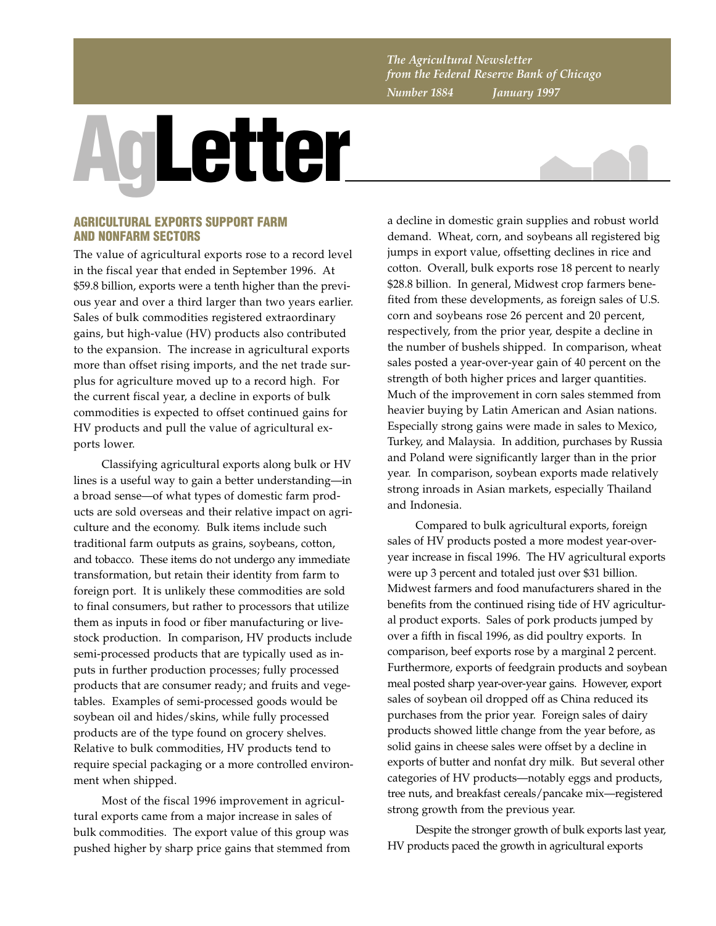*The Agricultural Newsletter from the Federal Reserve Bank of Chicago Number 1884 January 1997*

## **AgLetter**



## **AGRICULTURAL EXPORTS SUPPORT FARM AND NONFARM SECTORS**

The value of agricultural exports rose to a record level in the fiscal year that ended in September 1996. At \$59.8 billion, exports were a tenth higher than the previous year and over a third larger than two years earlier. Sales of bulk commodities registered extraordinary gains, but high-value (HV) products also contributed to the expansion. The increase in agricultural exports more than offset rising imports, and the net trade surplus for agriculture moved up to a record high. For the current fiscal year, a decline in exports of bulk commodities is expected to offset continued gains for HV products and pull the value of agricultural exports lower.

Classifying agricultural exports along bulk or HV lines is a useful way to gain a better understanding—in a broad sense—of what types of domestic farm products are sold overseas and their relative impact on agriculture and the economy. Bulk items include such traditional farm outputs as grains, soybeans, cotton, and tobacco. These items do not undergo any immediate transformation, but retain their identity from farm to foreign port. It is unlikely these commodities are sold to final consumers, but rather to processors that utilize them as inputs in food or fiber manufacturing or livestock production. In comparison, HV products include semi-processed products that are typically used as inputs in further production processes; fully processed products that are consumer ready; and fruits and vegetables. Examples of semi-processed goods would be soybean oil and hides/skins, while fully processed products are of the type found on grocery shelves. Relative to bulk commodities, HV products tend to require special packaging or a more controlled environment when shipped.

Most of the fiscal 1996 improvement in agricultural exports came from a major increase in sales of bulk commodities. The export value of this group was pushed higher by sharp price gains that stemmed from a decline in domestic grain supplies and robust world demand. Wheat, corn, and soybeans all registered big jumps in export value, offsetting declines in rice and cotton. Overall, bulk exports rose 18 percent to nearly \$28.8 billion. In general, Midwest crop farmers benefited from these developments, as foreign sales of U.S. corn and soybeans rose 26 percent and 20 percent, respectively, from the prior year, despite a decline in the number of bushels shipped. In comparison, wheat sales posted a year-over-year gain of 40 percent on the strength of both higher prices and larger quantities. Much of the improvement in corn sales stemmed from heavier buying by Latin American and Asian nations. Especially strong gains were made in sales to Mexico, Turkey, and Malaysia. In addition, purchases by Russia and Poland were significantly larger than in the prior year. In comparison, soybean exports made relatively strong inroads in Asian markets, especially Thailand and Indonesia.

Compared to bulk agricultural exports, foreign sales of HV products posted a more modest year-overyear increase in fiscal 1996. The HV agricultural exports were up 3 percent and totaled just over \$31 billion. Midwest farmers and food manufacturers shared in the benefits from the continued rising tide of HV agricultural product exports. Sales of pork products jumped by over a fifth in fiscal 1996, as did poultry exports. In comparison, beef exports rose by a marginal 2 percent. Furthermore, exports of feedgrain products and soybean meal posted sharp year-over-year gains. However, export sales of soybean oil dropped off as China reduced its purchases from the prior year. Foreign sales of dairy products showed little change from the year before, as solid gains in cheese sales were offset by a decline in exports of butter and nonfat dry milk. But several other categories of HV products—notably eggs and products, tree nuts, and breakfast cereals/pancake mix—registered strong growth from the previous year.

Despite the stronger growth of bulk exports last year, HV products paced the growth in agricultural exports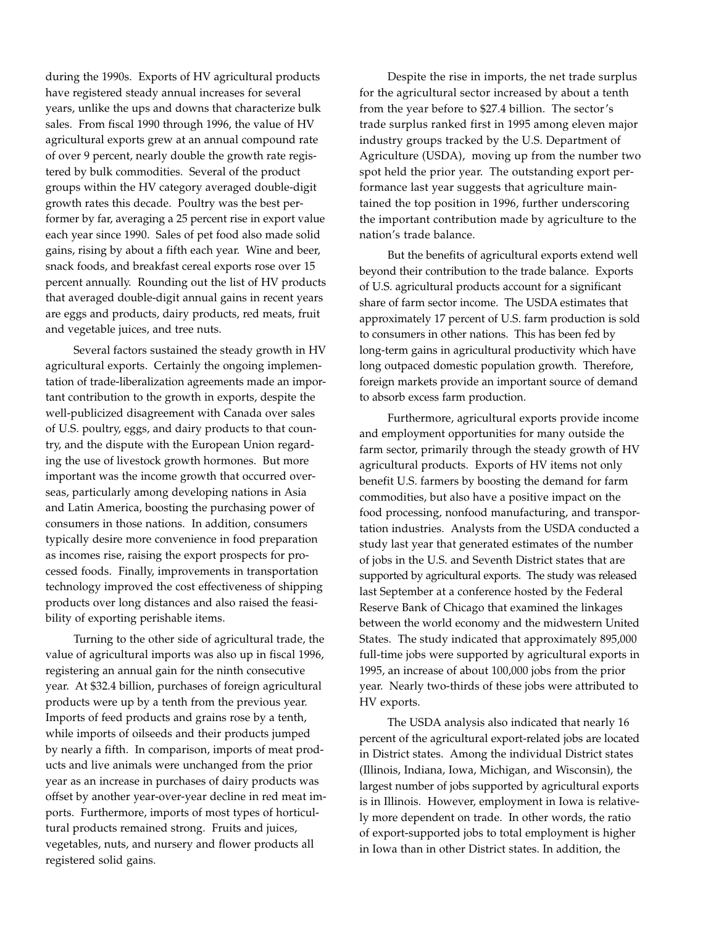during the 1990s. Exports of HV agricultural products have registered steady annual increases for several years, unlike the ups and downs that characterize bulk sales. From fiscal 1990 through 1996, the value of HV agricultural exports grew at an annual compound rate of over 9 percent, nearly double the growth rate registered by bulk commodities. Several of the product groups within the HV category averaged double-digit growth rates this decade. Poultry was the best performer by far, averaging a 25 percent rise in export value each year since 1990. Sales of pet food also made solid gains, rising by about a fifth each year. Wine and beer, snack foods, and breakfast cereal exports rose over 15 percent annually. Rounding out the list of HV products that averaged double-digit annual gains in recent years are eggs and products, dairy products, red meats, fruit and vegetable juices, and tree nuts.

Several factors sustained the steady growth in HV agricultural exports. Certainly the ongoing implementation of trade-liberalization agreements made an important contribution to the growth in exports, despite the well-publicized disagreement with Canada over sales of U.S. poultry, eggs, and dairy products to that country, and the dispute with the European Union regarding the use of livestock growth hormones. But more important was the income growth that occurred overseas, particularly among developing nations in Asia and Latin America, boosting the purchasing power of consumers in those nations. In addition, consumers typically desire more convenience in food preparation as incomes rise, raising the export prospects for processed foods. Finally, improvements in transportation technology improved the cost effectiveness of shipping products over long distances and also raised the feasibility of exporting perishable items.

Turning to the other side of agricultural trade, the value of agricultural imports was also up in fiscal 1996, registering an annual gain for the ninth consecutive year. At \$32.4 billion, purchases of foreign agricultural products were up by a tenth from the previous year. Imports of feed products and grains rose by a tenth, while imports of oilseeds and their products jumped by nearly a fifth. In comparison, imports of meat products and live animals were unchanged from the prior year as an increase in purchases of dairy products was offset by another year-over-year decline in red meat imports. Furthermore, imports of most types of horticultural products remained strong. Fruits and juices, vegetables, nuts, and nursery and flower products all registered solid gains.

Despite the rise in imports, the net trade surplus for the agricultural sector increased by about a tenth from the year before to \$27.4 billion. The sector's trade surplus ranked first in 1995 among eleven major industry groups tracked by the U.S. Department of Agriculture (USDA), moving up from the number two spot held the prior year. The outstanding export performance last year suggests that agriculture maintained the top position in 1996, further underscoring the important contribution made by agriculture to the nation's trade balance.

But the benefits of agricultural exports extend well beyond their contribution to the trade balance. Exports of U.S. agricultural products account for a significant share of farm sector income. The USDA estimates that approximately 17 percent of U.S. farm production is sold to consumers in other nations. This has been fed by long-term gains in agricultural productivity which have long outpaced domestic population growth. Therefore, foreign markets provide an important source of demand to absorb excess farm production.

Furthermore, agricultural exports provide income and employment opportunities for many outside the farm sector, primarily through the steady growth of HV agricultural products. Exports of HV items not only benefit U.S. farmers by boosting the demand for farm commodities, but also have a positive impact on the food processing, nonfood manufacturing, and transportation industries. Analysts from the USDA conducted a study last year that generated estimates of the number of jobs in the U.S. and Seventh District states that are supported by agricultural exports. The study was released last September at a conference hosted by the Federal Reserve Bank of Chicago that examined the linkages between the world economy and the midwestern United States. The study indicated that approximately 895,000 full-time jobs were supported by agricultural exports in 1995, an increase of about 100,000 jobs from the prior year. Nearly two-thirds of these jobs were attributed to HV exports.

The USDA analysis also indicated that nearly 16 percent of the agricultural export-related jobs are located in District states. Among the individual District states (Illinois, Indiana, Iowa, Michigan, and Wisconsin), the largest number of jobs supported by agricultural exports is in Illinois. However, employment in Iowa is relatively more dependent on trade. In other words, the ratio of export-supported jobs to total employment is higher in Iowa than in other District states. In addition, the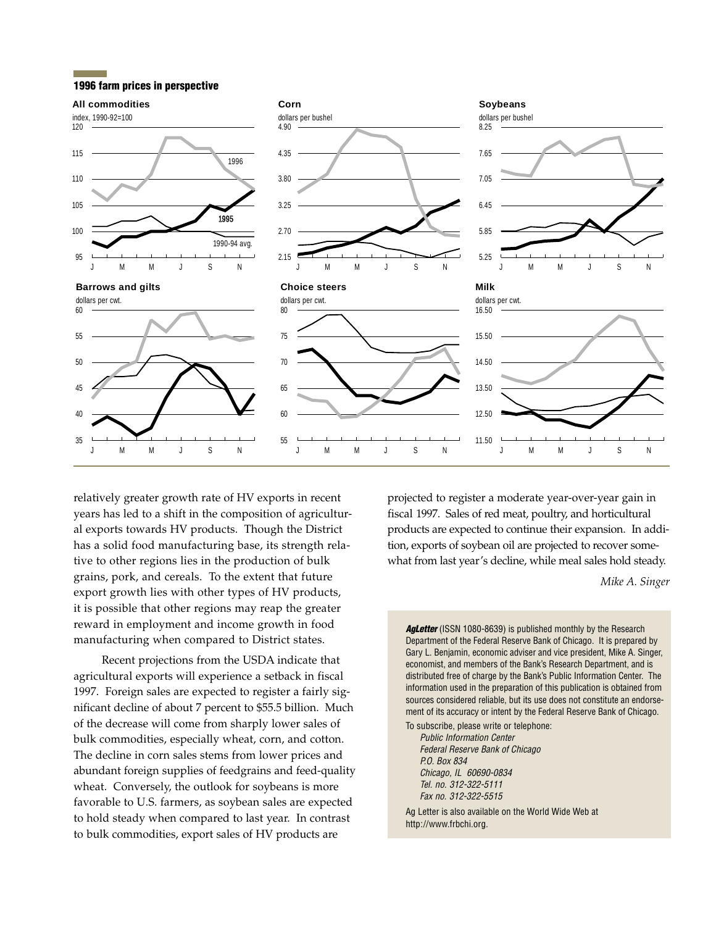## **1996 farm prices in perspective**



relatively greater growth rate of HV exports in recent years has led to a shift in the composition of agricultural exports towards HV products. Though the District has a solid food manufacturing base, its strength relative to other regions lies in the production of bulk grains, pork, and cereals. To the extent that future export growth lies with other types of HV products, it is possible that other regions may reap the greater reward in employment and income growth in food manufacturing when compared to District states.

Recent projections from the USDA indicate that agricultural exports will experience a setback in fiscal 1997. Foreign sales are expected to register a fairly significant decline of about 7 percent to \$55.5 billion. Much of the decrease will come from sharply lower sales of bulk commodities, especially wheat, corn, and cotton. The decline in corn sales stems from lower prices and abundant foreign supplies of feedgrains and feed-quality wheat. Conversely, the outlook for soybeans is more favorable to U.S. farmers, as soybean sales are expected to hold steady when compared to last year. In contrast to bulk commodities, export sales of HV products are

projected to register a moderate year-over-year gain in fiscal 1997. Sales of red meat, poultry, and horticultural products are expected to continue their expansion. In addition, exports of soybean oil are projected to recover somewhat from last year's decline, while meal sales hold steady.

*Mike A. Singer*

Agletter (ISSN 1080-8639) is published monthly by the Research Department of the Federal Reserve Bank of Chicago. It is prepared by Gary L. Benjamin, economic adviser and vice president, Mike A. Singer, economist, and members of the Bank's Research Department, and is distributed free of charge by the Bank's Public Information Center. The information used in the preparation of this publication is obtained from sources considered reliable, but its use does not constitute an endorsement of its accuracy or intent by the Federal Reserve Bank of Chicago.

To subscribe, please write or telephone: Public Information Center Federal Reserve Bank of Chicago P.O. Box 834 Chicago, IL 60690-0834 Tel. no. 312-322-5111 Fax no. 312-322-5515

Ag Letter is also available on the World Wide Web at http://www.frbchi.org.